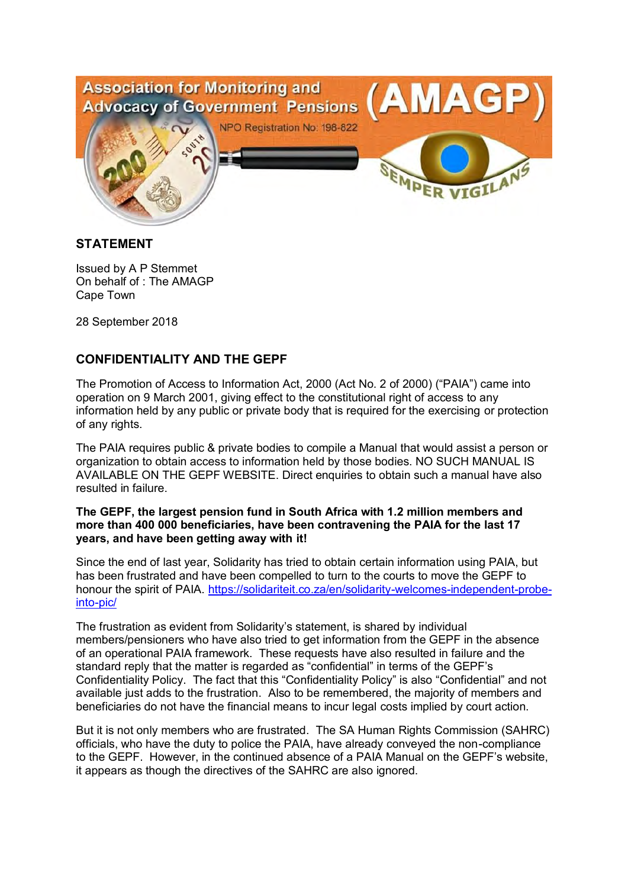

## **STATEMENT**

Issued by A P Stemmet On behalf of : The AMAGP Cape Town

28 September 2018

## **CONFIDENTIALITY AND THE GEPF**

The Promotion of Access to Information Act, 2000 (Act No. 2 of 2000) ("PAIA") came into operation on 9 March 2001, giving effect to the constitutional right of access to any information held by any public or private body that is required for the exercising or protection of any rights.

The PAIA requires public & private bodies to compile a Manual that would assist a person or organization to obtain access to information held by those bodies. NO SUCH MANUAL IS AVAILABLE ON THE GEPF WEBSITE. Direct enquiries to obtain such a manual have also resulted in failure.

## **The GEPF, the largest pension fund in South Africa with 1.2 million members and more than 400 000 beneficiaries, have been contravening the PAIA for the last 17 years, and have been getting away with it!**

Since the end of last year, Solidarity has tried to obtain certain information using PAIA, but has been frustrated and have been compelled to turn to the courts to move the GEPF to honour the spirit of PAIA. https://solidariteit.co.za/en/solidarity-welcomes-independent-probeinto-pic/

The frustration as evident from Solidarity's statement, is shared by individual members/pensioners who have also tried to get information from the GEPF in the absence of an operational PAIA framework. These requests have also resulted in failure and the standard reply that the matter is regarded as "confidential" in terms of the GEPF's Confidentiality Policy. The fact that this "Confidentiality Policy" is also "Confidential" and not available just adds to the frustration. Also to be remembered, the majority of members and beneficiaries do not have the financial means to incur legal costs implied by court action.

But it is not only members who are frustrated. The SA Human Rights Commission (SAHRC) officials, who have the duty to police the PAIA, have already conveyed the non-compliance to the GEPF. However, in the continued absence of a PAIA Manual on the GEPF's website, it appears as though the directives of the SAHRC are also ignored.